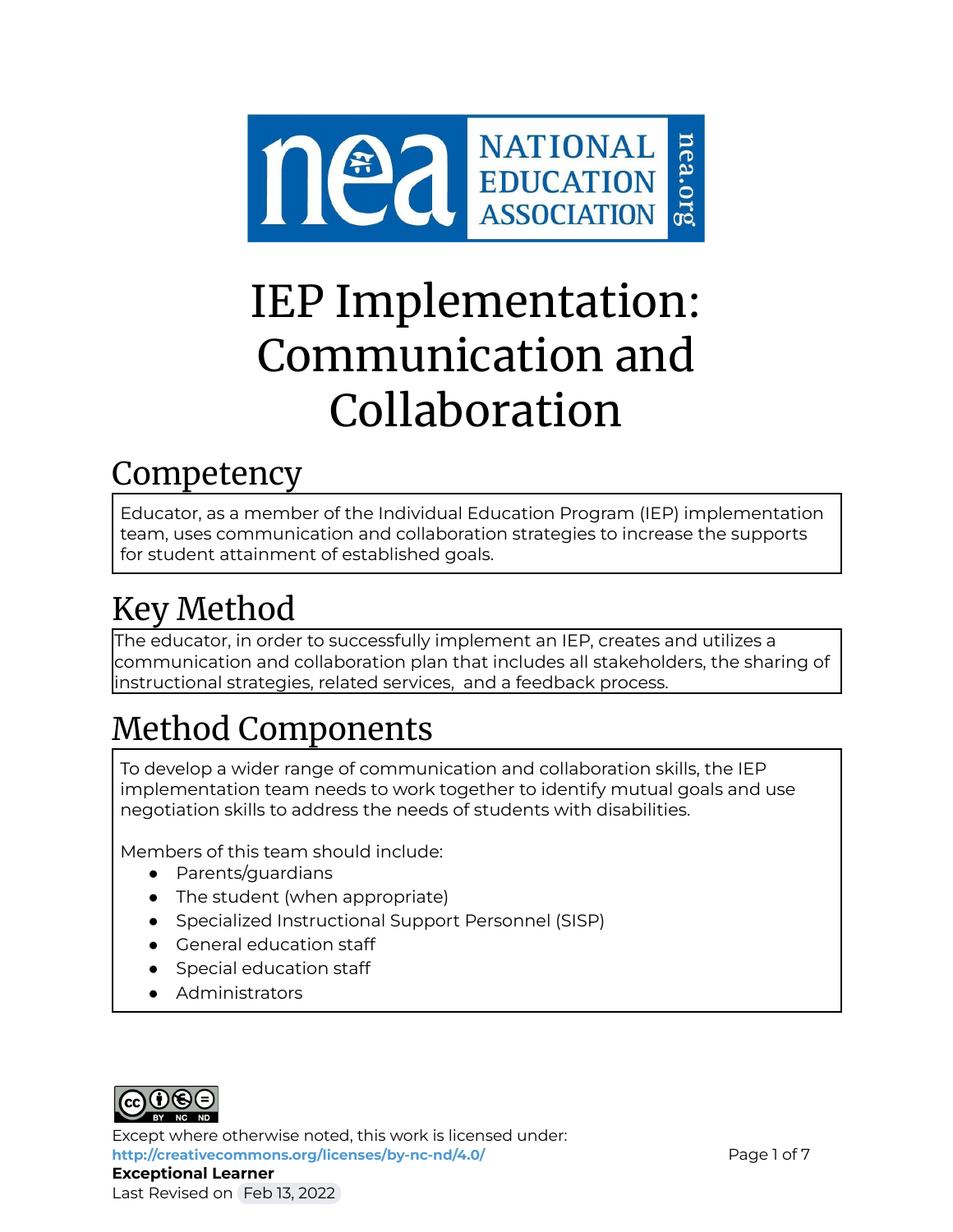

# IEP Implementation: Communication and Collaboration

### Competency

Educator, as a member of the Individual Education Program (IEP) implementation team, uses communication and collaboration strategies to increase the supports for student attainment of established goals.

## Key Method

The educator, in order to successfully implement an IEP, creates and utilizes a communication and collaboration plan that includes all stakeholders, the sharing of instructional strategies, related services, and a feedback process.

## Method Components

To develop a wider range of communication and collaboration skills, the IEP implementation team needs to work together to identify mutual goals and use negotiation skills to address the needs of students with disabilities.

Members of this team should include:

- Parents/guardians
- The student (when appropriate)
- Specialized Instructional Support Personnel (SISP)
- General education staff
- Special education staff
- Administrators



Except where otherwise noted, this work is licensed under: <http://creativecommons.org/licenses/by-nc-nd/4.0/> **Page 1 of 7** Page 1 of 7 **Exceptional Learner** Last Revised on Feb 13, 2022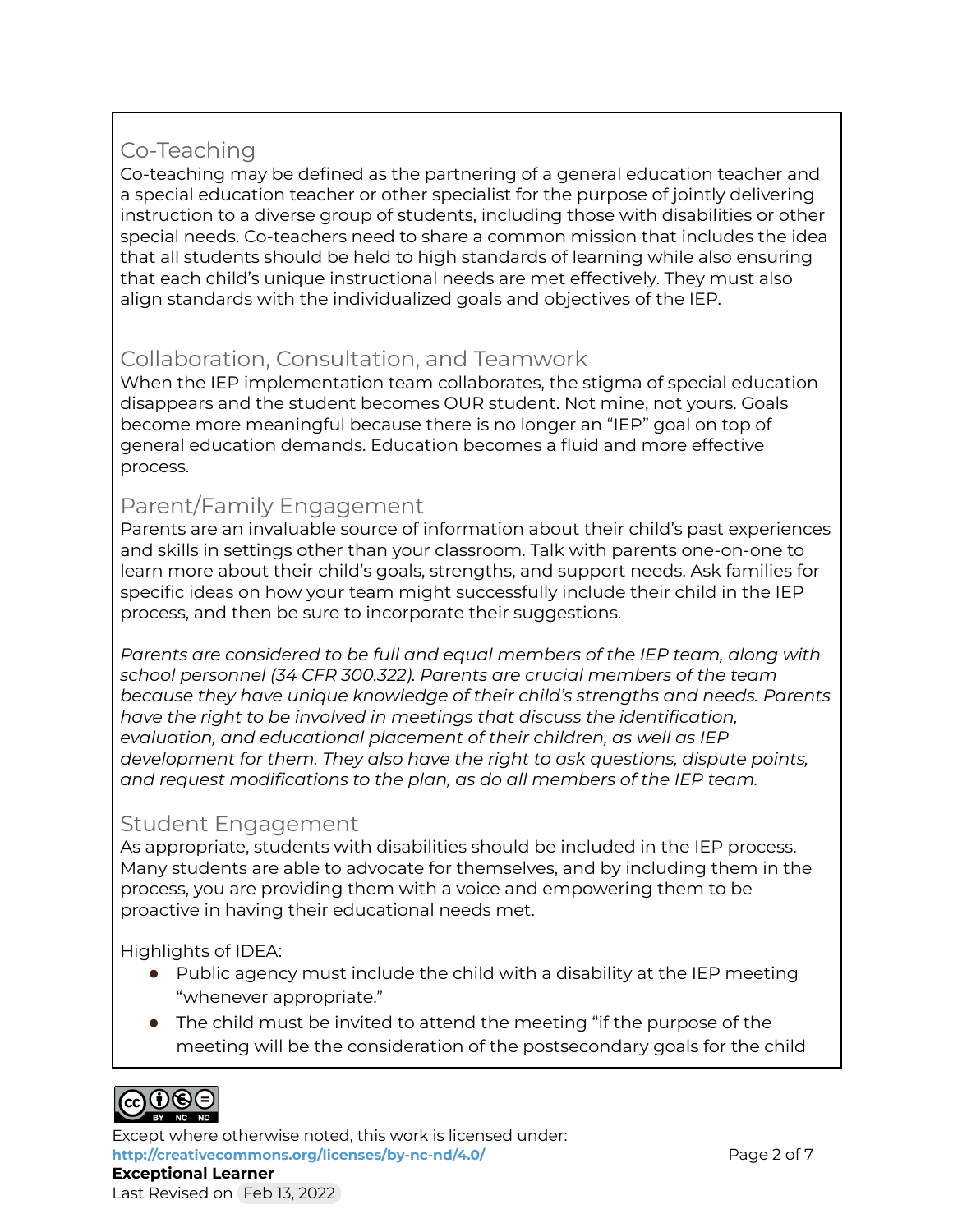### Co-Teaching

Co-teaching may be defined as the partnering of a general education teacher and a special education teacher or other specialist for the purpose of jointly delivering instruction to a diverse group of students, including those with disabilities or other special needs. Co-teachers need to share a common mission that includes the idea that all students should be held to high standards of learning while also ensuring that each child's unique instructional needs are met effectively. They must also align standards with the individualized goals and objectives of the IEP.

### Collaboration, Consultation, and Teamwork

When the IEP implementation team collaborates, the stigma of special education disappears and the student becomes OUR student. Not mine, not yours. Goals become more meaningful because there is no longer an "IEP" goal on top of general education demands. Education becomes a fluid and more effective process.

### Parent/Family Engagement

Parents are an invaluable source of information about their child's past experiences and skills in settings other than your classroom. Talk with parents one-on-one to learn more about their child's goals, strengths, and support needs. Ask families for specific ideas on how your team might successfully include their child in the IEP process, and then be sure to incorporate their suggestions.

*Parents are considered to be full and equal members of the IEP team, along with school personnel (34 CFR 300.322). Parents are crucial members of the team because they have unique knowledge of their child's strengths and needs. Parents have the right to be involved in meetings that discuss the identification, evaluation, and educational placement of their children, as well as IEP development for them. They also have the right to ask questions, dispute points, and request modifications to the plan, as do all members of the IEP team.*

### Student Engagement

As appropriate, students with disabilities should be included in the IEP process. Many students are able to advocate for themselves, and by including them in the process, you are providing them with a voice and empowering them to be proactive in having their educational needs met.

Highlights of IDEA:

- Public agency must include the child with a disability at the IEP meeting "whenever appropriate."
- The child must be invited to attend the meeting "if the purpose of the meeting will be the consideration of the postsecondary goals for the child



Except where otherwise noted, this work is licensed under: **<http://creativecommons.org/licenses/by-nc-nd/4.0/>** Page 2 of 7 **Exceptional Learner** Last Revised on Feb 13, 2022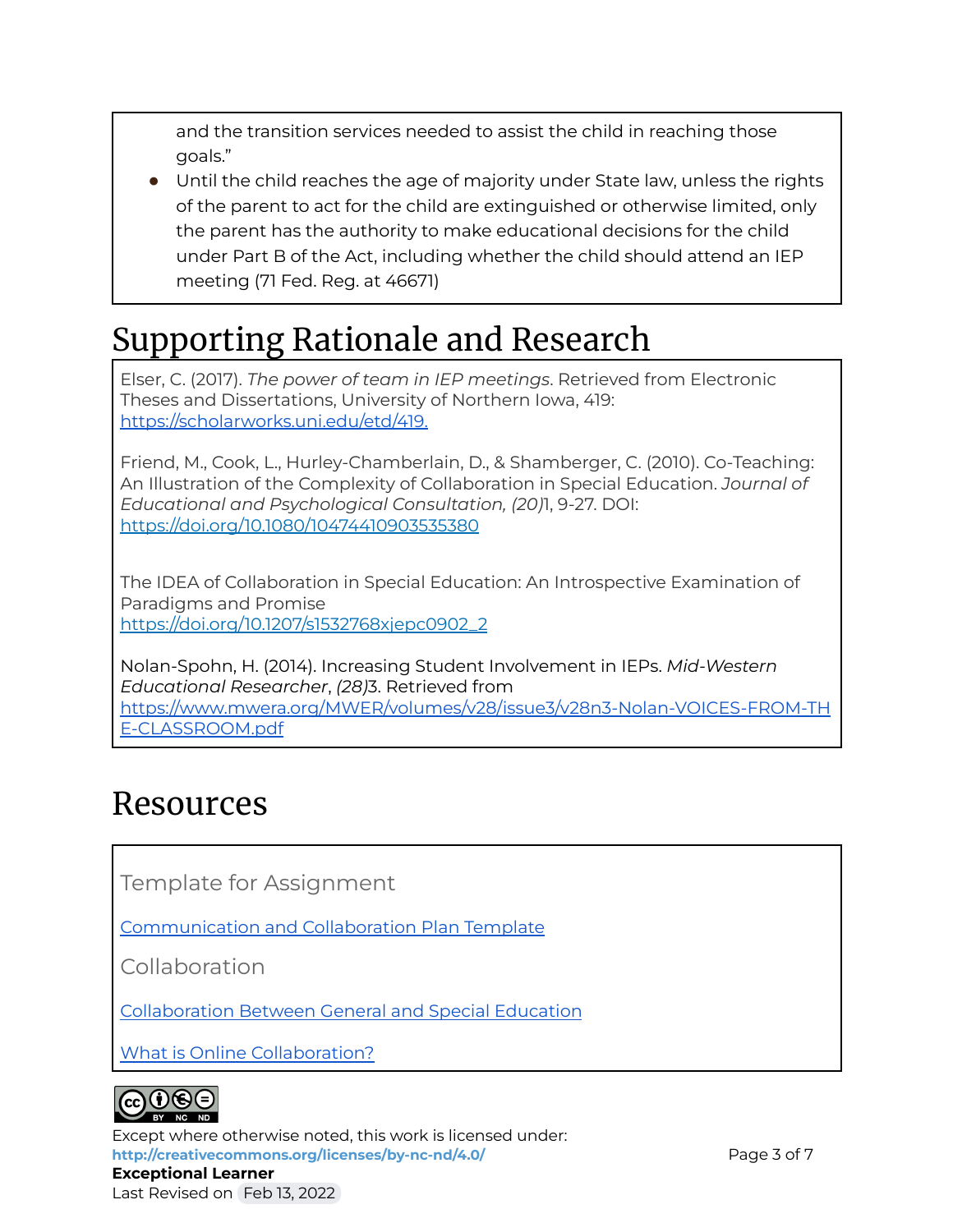and the transition services needed to assist the child in reaching those goals."

● Until the child reaches the age of majority under State law, unless the rights of the parent to act for the child are extinguished or otherwise limited, only the parent has the authority to make educational decisions for the child under Part B of the Act, including whether the child should attend an IEP meeting (71 Fed. Reg. at 46671)

## Supporting Rationale and Research

Elser, C. (2017). *The power of team in IEP meetings*. Retrieved from Electronic Theses and Dissertations, University of Northern Iowa, 419: [https://scholarworks.uni.edu/etd/419.](https://scholarworks.uni.edu/etd/419)

Friend, M., Cook, L., Hurley-Chamberlain, D., & Shamberger, C. (2010). Co-Teaching: An Illustration of the Complexity of Collaboration in Special Education. *Journal of Educational and Psychological Consultation, (20)*1, 9-27. DOI: <https://doi.org/10.1080/10474410903535380>

The IDEA of Collaboration in Special Education: An Introspective Examination of Paradigms and Promise [https://doi.org/10.1207/s1532768xjepc0902\\_2](https://doi.org/10.1207/s1532768xjepc0902_2)

Nolan-Spohn, H. (2014). Increasing Student Involvement in IEPs. *Mid-Western Educational Researcher*, *(28)*3. Retrieved from [https://www.mwera.org/MWER/volumes/v28/issue3/v28n3-Nolan-VOICES-FROM-TH](https://www.mwera.org/MWER/volumes/v28/issue3/v28n3-Nolan-VOICES-FROM-THE-CLASSROOM.pdf) [E-CLASSROOM.pdf](https://www.mwera.org/MWER/volumes/v28/issue3/v28n3-Nolan-VOICES-FROM-THE-CLASSROOM.pdf)

### Resources

Template for Assignment

[Communication](https://docs.google.com/document/d/1VTm01JnaD4jhRpZvoMja-gdAXiwus3XZgAU5YGt0p1g/edit) and Collaboration Plan Template

Collaboration

[Collaboration](http://www.ncset.org) Between General and Special Education

What is Online [Collaboration?](https://www.lifewire.com/faqs-about-online-collaboration-2377250)



Except where otherwise noted, this work is licensed under: <http://creativecommons.org/licenses/by-nc-nd/4.0/> **Page 3 of 7 Exceptional Learner** Last Revised on Feb 13, 2022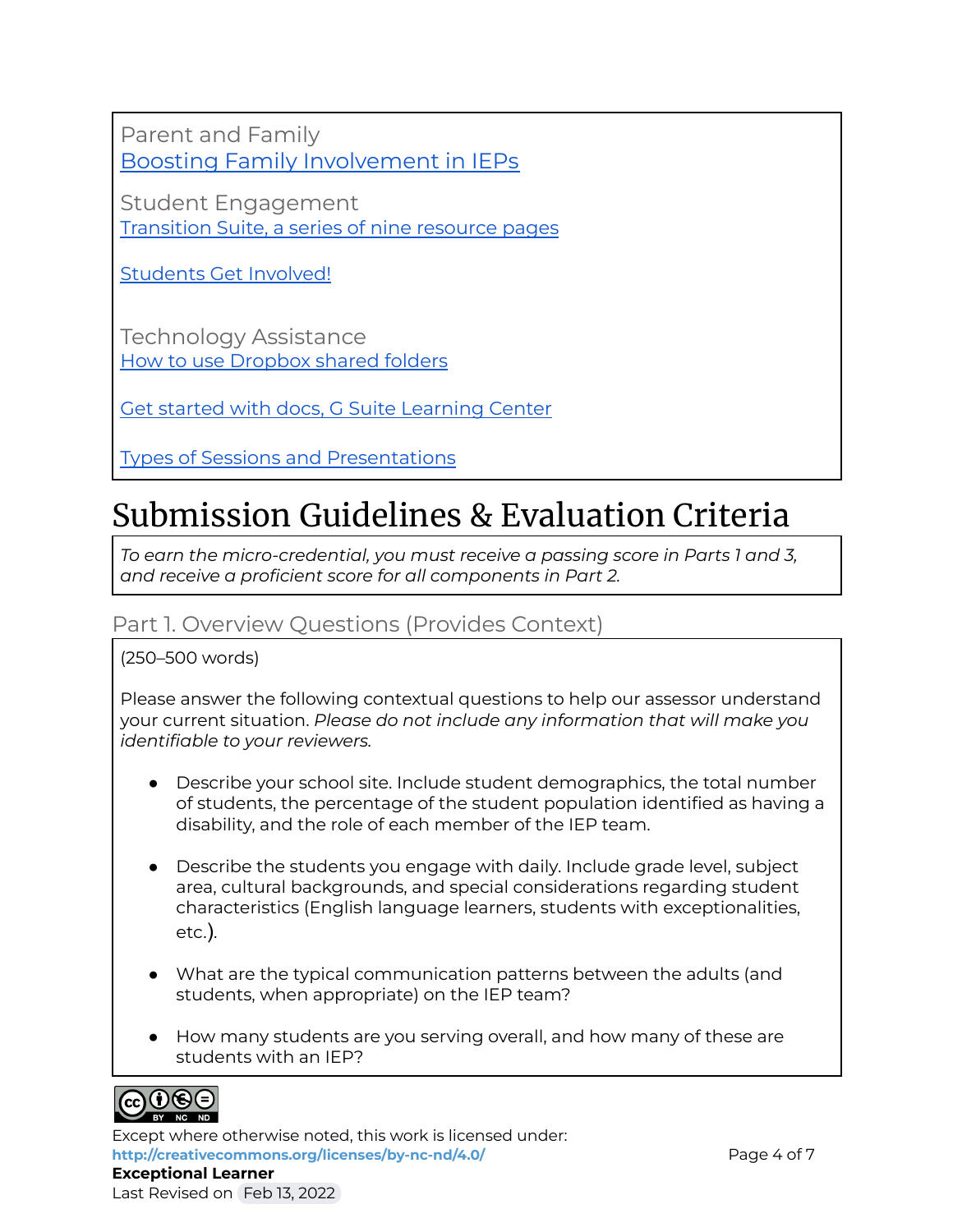Parent and Family Boosting Family [Involvement](http://blog.brookespublishing.com/9-ways-to-boost-family-involvement-in-the-iep-process/) in IEPs

Student Engagement [Transition](https://www.parentcenterhub.org/transitionadult/) Suite, a series of nine resource pages

[Students](https://www.parentcenterhub.org/student-involvement/) Get Involved!

Technology Assistance How to use [Dropbox](https://www.dropbox.com/help/files-folders/share-with-others) shared folders

Get started with docs, G Suite [Learning](https://gsuite.google.com/learning-center/products/docs/get-started/) Center

Types of Sessions and [Presentations](http://www.livingknowledge.org/conference/about-the-conference/types-of-sessions-and-presentations/)

### Submission Guidelines & Evaluation Criteria

*To earn the micro-credential, you must receive a passing score in Parts 1 and 3, and receive a proficient score for all components in Part 2.*

### Part 1. Overview Questions (Provides Context)

(250–500 words)

Please answer the following contextual questions to help our assessor understand your current situation. *Please do not include any information that will make you identifiable to your reviewers.*

- Describe your school site. Include student demographics, the total number of students, the percentage of the student population identified as having a disability, and the role of each member of the IEP team.
- Describe the students you engage with daily. Include grade level, subject area, cultural backgrounds, and special considerations regarding student characteristics (English language learners, students with exceptionalities, etc.).
- What are the typical communication patterns between the adults (and students, when appropriate) on the IEP team?
- How many students are you serving overall, and how many of these are students with an IEP?



Except where otherwise noted, this work is licensed under: **<http://creativecommons.org/licenses/by-nc-nd/4.0/>** Page 4 of 7 **Exceptional Learner**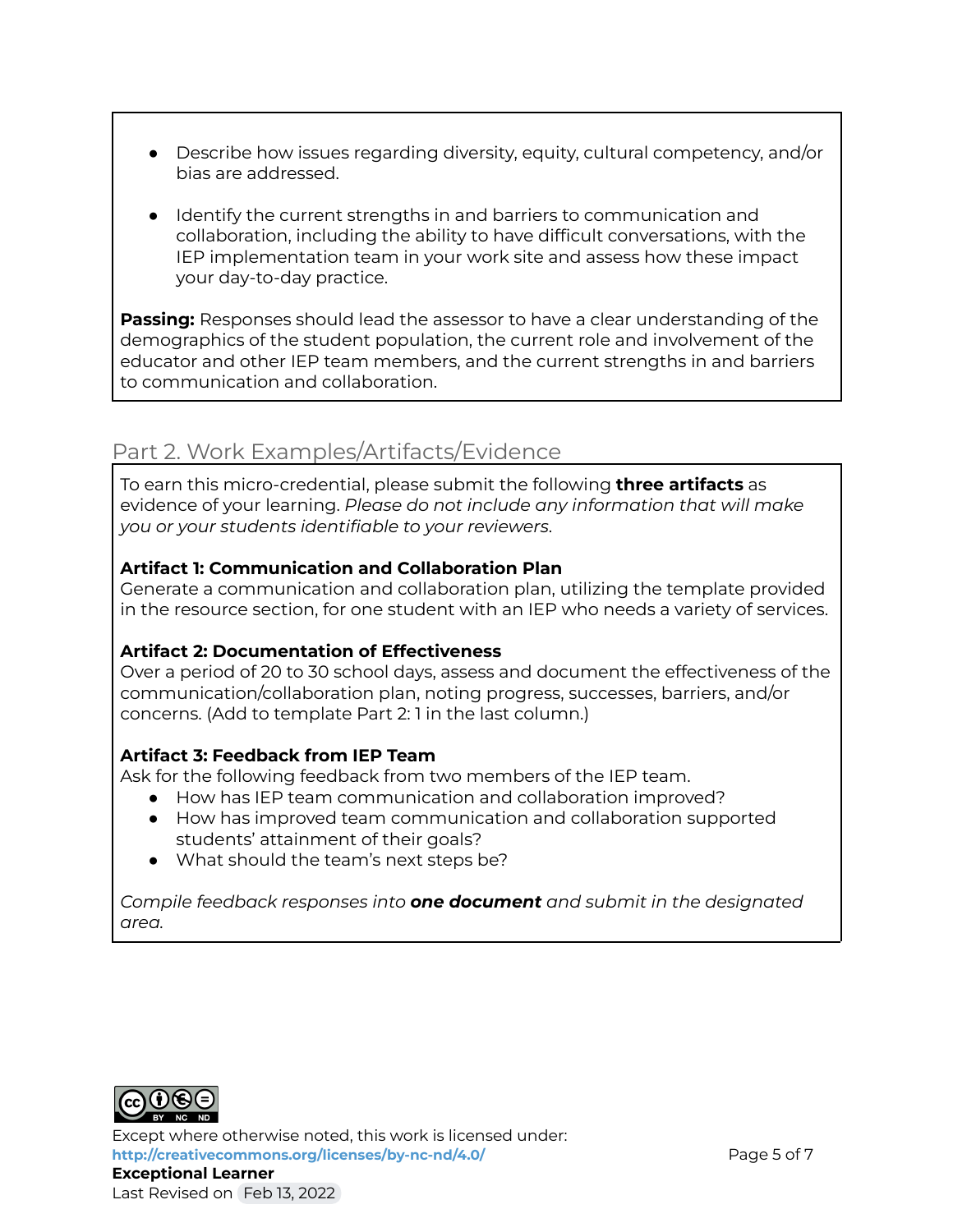- Describe how issues regarding diversity, equity, cultural competency, and/or bias are addressed.
- Identify the current strengths in and barriers to communication and collaboration, including the ability to have difficult conversations, with the IEP implementation team in your work site and assess how these impact your day-to-day practice.

**Passing:** Responses should lead the assessor to have a clear understanding of the demographics of the student population, the current role and involvement of the educator and other IEP team members, and the current strengths in and barriers to communication and collaboration.

### Part 2. Work Examples/Artifacts/Evidence

To earn this micro-credential, please submit the following **three artifacts** as evidence of your learning. *Please do not include any information that will make you or your students identifiable to your reviewers*.

### **Artifact 1: Communication and Collaboration Plan**

Generate a communication and collaboration plan, utilizing the template provided in the resource section, for one student with an IEP who needs a variety of services.

### **Artifact 2: Documentation of Effectiveness**

Over a period of 20 to 30 school days, assess and document the effectiveness of the communication/collaboration plan, noting progress, successes, barriers, and/or concerns. (Add to template Part 2: 1 in the last column.)

#### **Artifact 3: Feedback from IEP Team**

Ask for the following feedback from two members of the IEP team.

- How has IEP team communication and collaboration improved?
- How has improved team communication and collaboration supported students' attainment of their goals?
- What should the team's next steps be?

*Compile feedback responses into one document and submit in the designated area.*



Except where otherwise noted, this work is licensed under: **<http://creativecommons.org/licenses/by-nc-nd/4.0/>** Page 5 of 7 **Exceptional Learner** Last Revised on Feb 13, 2022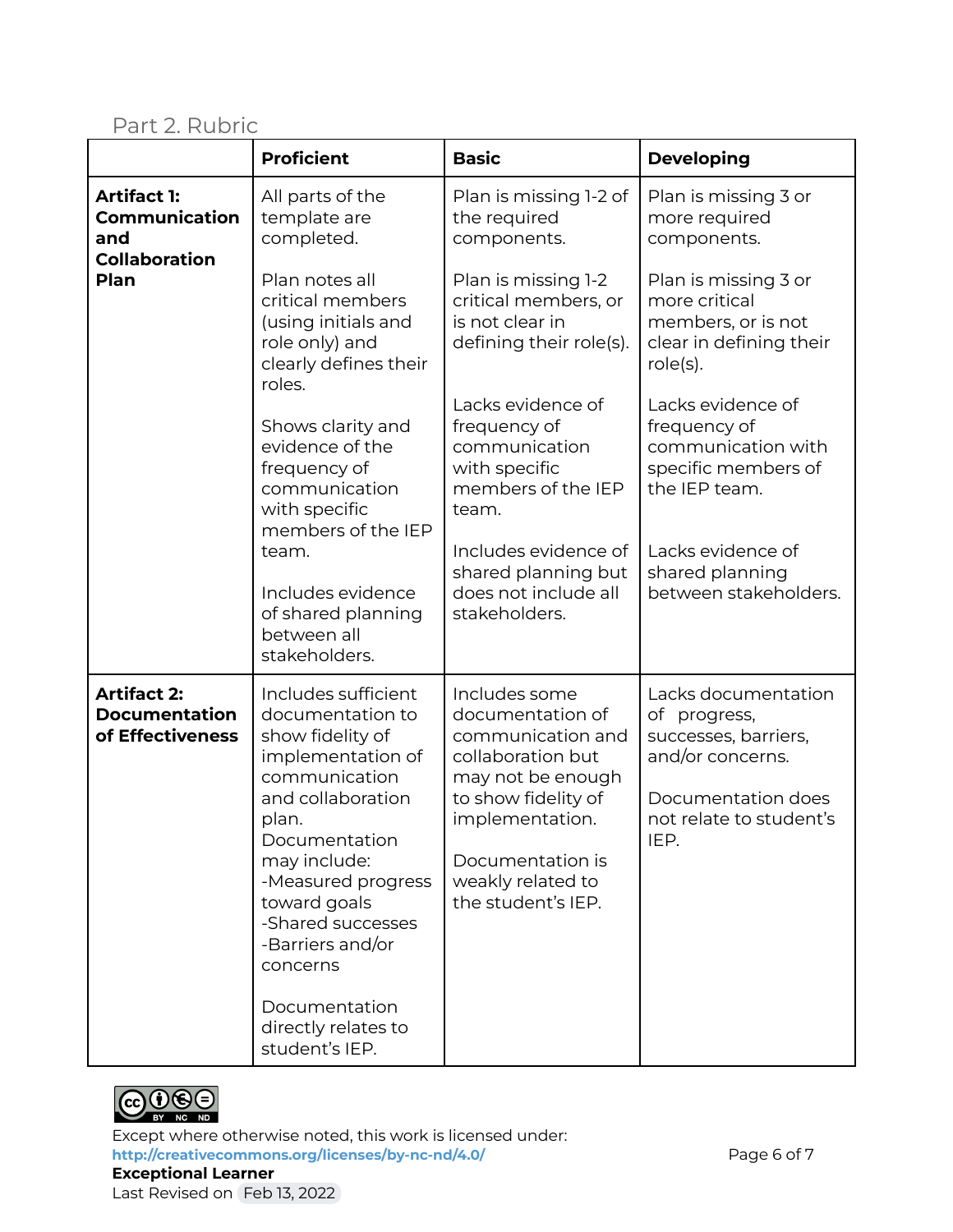Part 2. Rubric

|                                                                            | <b>Proficient</b>                                                                                                                                                                                                                                           | <b>Basic</b>                                                                                                                                                                                              | <b>Developing</b>                                                                                                                        |
|----------------------------------------------------------------------------|-------------------------------------------------------------------------------------------------------------------------------------------------------------------------------------------------------------------------------------------------------------|-----------------------------------------------------------------------------------------------------------------------------------------------------------------------------------------------------------|------------------------------------------------------------------------------------------------------------------------------------------|
| <b>Artifact 1:</b><br>Communication<br>and<br><b>Collaboration</b><br>Plan | All parts of the<br>template are<br>completed.                                                                                                                                                                                                              | Plan is missing 1-2 of<br>the required<br>components.                                                                                                                                                     | Plan is missing 3 or<br>more required<br>components.                                                                                     |
|                                                                            | Plan notes all<br>critical members<br>(using initials and<br>role only) and<br>clearly defines their<br>roles.                                                                                                                                              | Plan is missing 1-2<br>critical members, or<br>is not clear in<br>defining their role(s).                                                                                                                 | Plan is missing 3 or<br>more critical<br>members, or is not<br>clear in defining their<br>$role(s)$ .                                    |
|                                                                            | Shows clarity and<br>evidence of the<br>frequency of<br>communication<br>with specific<br>members of the IEP                                                                                                                                                | Lacks evidence of<br>frequency of<br>communication<br>with specific<br>members of the IEP<br>team.                                                                                                        | Lacks evidence of<br>frequency of<br>communication with<br>specific members of<br>the IEP team.                                          |
|                                                                            | team.<br>Includes evidence<br>of shared planning<br>between all<br>stakeholders.                                                                                                                                                                            | Includes evidence of<br>shared planning but<br>does not include all<br>stakeholders.                                                                                                                      | Lacks evidence of<br>shared planning<br>between stakeholders.                                                                            |
| <b>Artifact 2:</b><br><b>Documentation</b><br>of Effectiveness             | Includes sufficient<br>documentation to<br>show fidelity of<br>implementation of<br>communication<br>and collaboration<br>plan.<br>Documentation<br>may include:<br>-Measured progress<br>toward goals<br>-Shared successes<br>-Barriers and/or<br>concerns | Includes some<br>documentation of<br>communication and<br>collaboration but<br>may not be enough<br>to show fidelity of<br>implementation.<br>Documentation is<br>weakly related to<br>the student's IEP. | Lacks documentation<br>of progress,<br>successes, barriers,<br>and/or concerns.<br>Documentation does<br>not relate to student's<br>IEP. |
|                                                                            | Documentation<br>directly relates to<br>student's IEP.                                                                                                                                                                                                      |                                                                                                                                                                                                           |                                                                                                                                          |



Except where otherwise noted, this work is licensed under: <http://creativecommons.org/licenses/by-nc-nd/4.0/><br>
Page 6 of 7 **Exceptional Learner** Last Revised on Feb 13, 2022